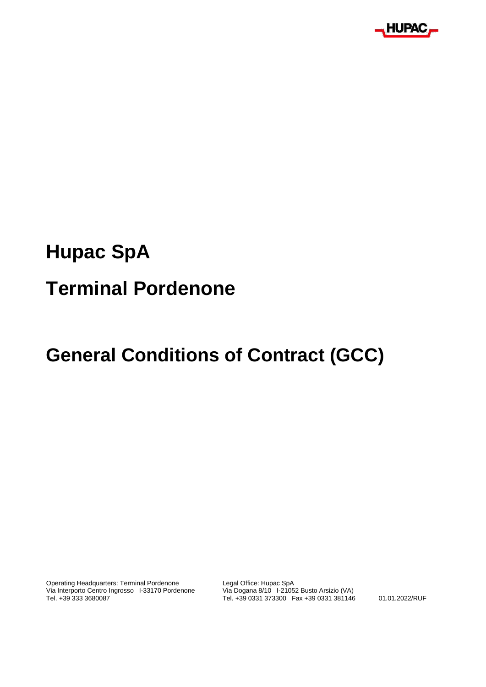

## **Hupac SpA**

# **Terminal Pordenone**

## **General Conditions of Contract (GCC)**

Operating Headquarters: Terminal Pordenone Legal Office: Hupac SpA<br>Via Interporto Centro Ingrosso 1-33170 Pordenone Via Dogana 8/10 1-21052 Busto Arsizio (VA) Via Interporto Centro Ingrosso I-33170 Pordenone<br>Tel. +39 333 3680087

Tel. +39 0331 373300 Fax +39 0331 381146 01.01.2022/RUF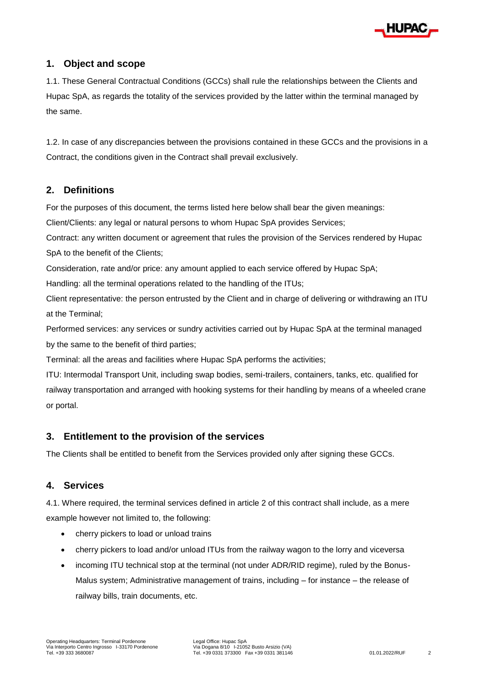

#### **1. Object and scope**

1.1. These General Contractual Conditions (GCCs) shall rule the relationships between the Clients and Hupac SpA, as regards the totality of the services provided by the latter within the terminal managed by the same.

1.2. In case of any discrepancies between the provisions contained in these GCCs and the provisions in a Contract, the conditions given in the Contract shall prevail exclusively.

#### **2. Definitions**

For the purposes of this document, the terms listed here below shall bear the given meanings:

Client/Clients: any legal or natural persons to whom Hupac SpA provides Services;

Contract: any written document or agreement that rules the provision of the Services rendered by Hupac SpA to the benefit of the Clients;

Consideration, rate and/or price: any amount applied to each service offered by Hupac SpA;

Handling: all the terminal operations related to the handling of the ITUs;

Client representative: the person entrusted by the Client and in charge of delivering or withdrawing an ITU at the Terminal;

Performed services: any services or sundry activities carried out by Hupac SpA at the terminal managed by the same to the benefit of third parties;

Terminal: all the areas and facilities where Hupac SpA performs the activities;

ITU: Intermodal Transport Unit, including swap bodies, semi-trailers, containers, tanks, etc. qualified for railway transportation and arranged with hooking systems for their handling by means of a wheeled crane or portal.

#### **3. Entitlement to the provision of the services**

The Clients shall be entitled to benefit from the Services provided only after signing these GCCs.

#### **4. Services**

4.1. Where required, the terminal services defined in article 2 of this contract shall include, as a mere example however not limited to, the following:

- cherry pickers to load or unload trains
- cherry pickers to load and/or unload ITUs from the railway wagon to the lorry and viceversa
- incoming ITU technical stop at the terminal (not under ADR/RID regime), ruled by the Bonus-Malus system; Administrative management of trains, including – for instance – the release of railway bills, train documents, etc.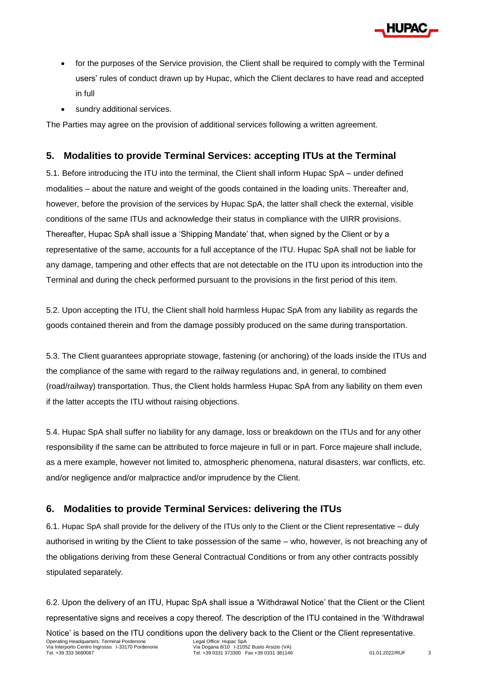

- for the purposes of the Service provision, the Client shall be required to comply with the Terminal users' rules of conduct drawn up by Hupac, which the Client declares to have read and accepted in full
- sundry additional services.

The Parties may agree on the provision of additional services following a written agreement.

## **5. Modalities to provide Terminal Services: accepting ITUs at the Terminal**

5.1. Before introducing the ITU into the terminal, the Client shall inform Hupac SpA – under defined modalities – about the nature and weight of the goods contained in the loading units. Thereafter and, however, before the provision of the services by Hupac SpA, the latter shall check the external, visible conditions of the same ITUs and acknowledge their status in compliance with the UIRR provisions. Thereafter, Hupac SpA shall issue a 'Shipping Mandate' that, when signed by the Client or by a representative of the same, accounts for a full acceptance of the ITU. Hupac SpA shall not be liable for any damage, tampering and other effects that are not detectable on the ITU upon its introduction into the Terminal and during the check performed pursuant to the provisions in the first period of this item.

5.2. Upon accepting the ITU, the Client shall hold harmless Hupac SpA from any liability as regards the goods contained therein and from the damage possibly produced on the same during transportation.

5.3. The Client guarantees appropriate stowage, fastening (or anchoring) of the loads inside the ITUs and the compliance of the same with regard to the railway regulations and, in general, to combined (road/railway) transportation. Thus, the Client holds harmless Hupac SpA from any liability on them even if the latter accepts the ITU without raising objections.

5.4. Hupac SpA shall suffer no liability for any damage, loss or breakdown on the ITUs and for any other responsibility if the same can be attributed to force majeure in full or in part. Force majeure shall include, as a mere example, however not limited to, atmospheric phenomena, natural disasters, war conflicts, etc. and/or negligence and/or malpractice and/or imprudence by the Client.

## **6. Modalities to provide Terminal Services: delivering the ITUs**

6.1. Hupac SpA shall provide for the delivery of the ITUs only to the Client or the Client representative – duly authorised in writing by the Client to take possession of the same – who, however, is not breaching any of the obligations deriving from these General Contractual Conditions or from any other contracts possibly stipulated separately.

6.2. Upon the delivery of an ITU, Hupac SpA shall issue a 'Withdrawal Notice' that the Client or the Client representative signs and receives a copy thereof. The description of the ITU contained in the 'Withdrawal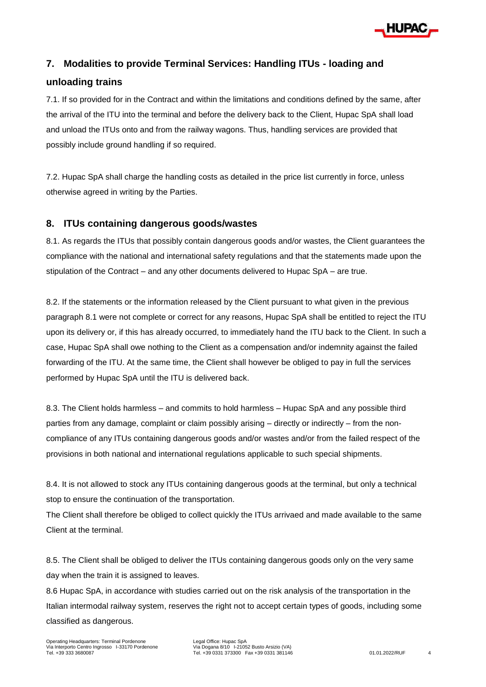

## **7. Modalities to provide Terminal Services: Handling ITUs - loading and**

#### **unloading trains**

7.1. If so provided for in the Contract and within the limitations and conditions defined by the same, after the arrival of the ITU into the terminal and before the delivery back to the Client, Hupac SpA shall load and unload the ITUs onto and from the railway wagons. Thus, handling services are provided that possibly include ground handling if so required.

7.2. Hupac SpA shall charge the handling costs as detailed in the price list currently in force, unless otherwise agreed in writing by the Parties.

### **8. ITUs containing dangerous goods/wastes**

8.1. As regards the ITUs that possibly contain dangerous goods and/or wastes, the Client guarantees the compliance with the national and international safety regulations and that the statements made upon the stipulation of the Contract – and any other documents delivered to Hupac SpA – are true.

8.2. If the statements or the information released by the Client pursuant to what given in the previous paragraph 8.1 were not complete or correct for any reasons, Hupac SpA shall be entitled to reject the ITU upon its delivery or, if this has already occurred, to immediately hand the ITU back to the Client. In such a case, Hupac SpA shall owe nothing to the Client as a compensation and/or indemnity against the failed forwarding of the ITU. At the same time, the Client shall however be obliged to pay in full the services performed by Hupac SpA until the ITU is delivered back.

8.3. The Client holds harmless – and commits to hold harmless – Hupac SpA and any possible third parties from any damage, complaint or claim possibly arising – directly or indirectly – from the noncompliance of any ITUs containing dangerous goods and/or wastes and/or from the failed respect of the provisions in both national and international regulations applicable to such special shipments.

8.4. It is not allowed to stock any ITUs containing dangerous goods at the terminal, but only a technical stop to ensure the continuation of the transportation.

The Client shall therefore be obliged to collect quickly the ITUs arrivaed and made available to the same Client at the terminal.

8.5. The Client shall be obliged to deliver the ITUs containing dangerous goods only on the very same day when the train it is assigned to leaves.

8.6 Hupac SpA, in accordance with studies carried out on the risk analysis of the transportation in the Italian intermodal railway system, reserves the right not to accept certain types of goods, including some classified as dangerous.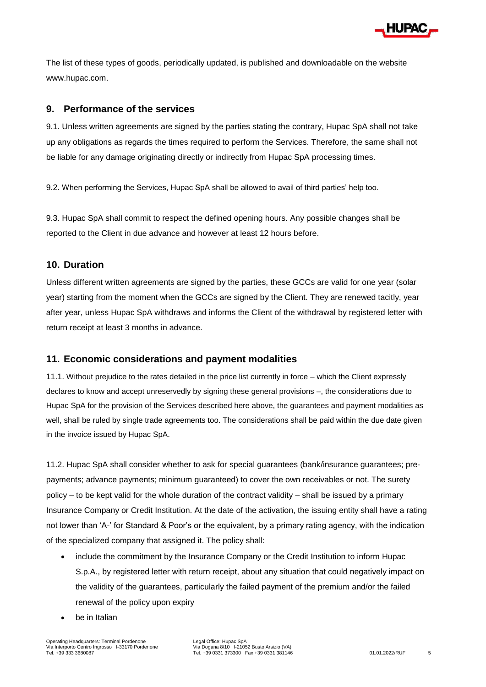

The list of these types of goods, periodically updated, is published and downloadable on the website www.hupac.com.

### **9. Performance of the services**

9.1. Unless written agreements are signed by the parties stating the contrary, Hupac SpA shall not take up any obligations as regards the times required to perform the Services. Therefore, the same shall not be liable for any damage originating directly or indirectly from Hupac SpA processing times.

9.2. When performing the Services, Hupac SpA shall be allowed to avail of third parties' help too.

9.3. Hupac SpA shall commit to respect the defined opening hours. Any possible changes shall be reported to the Client in due advance and however at least 12 hours before.

### **10. Duration**

Unless different written agreements are signed by the parties, these GCCs are valid for one year (solar year) starting from the moment when the GCCs are signed by the Client. They are renewed tacitly, year after year, unless Hupac SpA withdraws and informs the Client of the withdrawal by registered letter with return receipt at least 3 months in advance.

#### **11. Economic considerations and payment modalities**

11.1. Without prejudice to the rates detailed in the price list currently in force – which the Client expressly declares to know and accept unreservedly by signing these general provisions –, the considerations due to Hupac SpA for the provision of the Services described here above, the guarantees and payment modalities as well, shall be ruled by single trade agreements too. The considerations shall be paid within the due date given in the invoice issued by Hupac SpA.

11.2. Hupac SpA shall consider whether to ask for special guarantees (bank/insurance guarantees; prepayments; advance payments; minimum guaranteed) to cover the own receivables or not. The surety policy – to be kept valid for the whole duration of the contract validity – shall be issued by a primary Insurance Company or Credit Institution. At the date of the activation, the issuing entity shall have a rating not lower than 'A-' for Standard & Poor's or the equivalent, by a primary rating agency, with the indication of the specialized company that assigned it. The policy shall:

- include the commitment by the Insurance Company or the Credit Institution to inform Hupac S.p.A., by registered letter with return receipt, about any situation that could negatively impact on the validity of the guarantees, particularly the failed payment of the premium and/or the failed renewal of the policy upon expiry
- be in Italian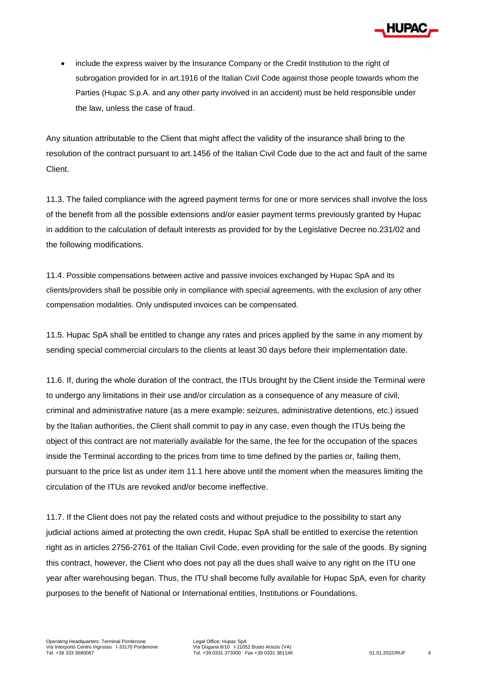

• include the express waiver by the Insurance Company or the Credit Institution to the right of subrogation provided for in art.1916 of the Italian Civil Code against those people towards whom the Parties (Hupac S.p.A. and any other party involved in an accident) must be held responsible under the law, unless the case of fraud.

Any situation attributable to the Client that might affect the validity of the insurance shall bring to the resolution of the contract pursuant to art.1456 of the Italian Civil Code due to the act and fault of the same Client.

11.3. The failed compliance with the agreed payment terms for one or more services shall involve the loss of the benefit from all the possible extensions and/or easier payment terms previously granted by Hupac in addition to the calculation of default interests as provided for by the Legislative Decree no.231/02 and the following modifications.

11.4. Possible compensations between active and passive invoices exchanged by Hupac SpA and its clients/providers shall be possible only in compliance with special agreements, with the exclusion of any other compensation modalities. Only undisputed invoices can be compensated.

11.5. Hupac SpA shall be entitled to change any rates and prices applied by the same in any moment by sending special commercial circulars to the clients at least 30 days before their implementation date.

11.6. If, during the whole duration of the contract, the ITUs brought by the Client inside the Terminal were to undergo any limitations in their use and/or circulation as a consequence of any measure of civil, criminal and administrative nature (as a mere example: seizures, administrative detentions, etc.) issued by the Italian authorities, the Client shall commit to pay in any case, even though the ITUs being the object of this contract are not materially available for the same, the fee for the occupation of the spaces inside the Terminal according to the prices from time to time defined by the parties or, failing them, pursuant to the price list as under item 11.1 here above until the moment when the measures limiting the circulation of the ITUs are revoked and/or become ineffective.

11.7. If the Client does not pay the related costs and without prejudice to the possibility to start any judicial actions aimed at protecting the own credit, Hupac SpA shall be entitled to exercise the retention right as in articles 2756-2761 of the Italian Civil Code, even providing for the sale of the goods. By signing this contract, however, the Client who does not pay all the dues shall waive to any right on the ITU one year after warehousing began. Thus, the ITU shall become fully available for Hupac SpA, even for charity purposes to the benefit of National or International entities, Institutions or Foundations.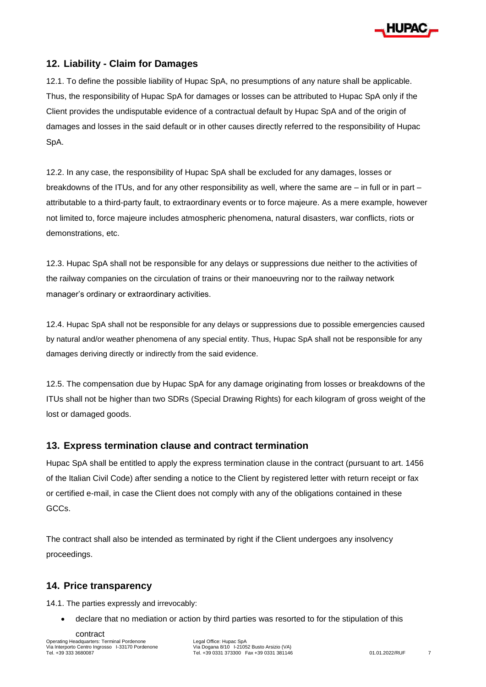

## **12. Liability - Claim for Damages**

12.1. To define the possible liability of Hupac SpA, no presumptions of any nature shall be applicable. Thus, the responsibility of Hupac SpA for damages or losses can be attributed to Hupac SpA only if the Client provides the undisputable evidence of a contractual default by Hupac SpA and of the origin of damages and losses in the said default or in other causes directly referred to the responsibility of Hupac SpA.

12.2. In any case, the responsibility of Hupac SpA shall be excluded for any damages, losses or breakdowns of the ITUs, and for any other responsibility as well, where the same are – in full or in part – attributable to a third-party fault, to extraordinary events or to force majeure. As a mere example, however not limited to, force majeure includes atmospheric phenomena, natural disasters, war conflicts, riots or demonstrations, etc.

12.3. Hupac SpA shall not be responsible for any delays or suppressions due neither to the activities of the railway companies on the circulation of trains or their manoeuvring nor to the railway network manager's ordinary or extraordinary activities.

12.4. Hupac SpA shall not be responsible for any delays or suppressions due to possible emergencies caused by natural and/or weather phenomena of any special entity. Thus, Hupac SpA shall not be responsible for any damages deriving directly or indirectly from the said evidence.

12.5. The compensation due by Hupac SpA for any damage originating from losses or breakdowns of the ITUs shall not be higher than two SDRs (Special Drawing Rights) for each kilogram of gross weight of the lost or damaged goods.

#### **13. Express termination clause and contract termination**

Hupac SpA shall be entitled to apply the express termination clause in the contract (pursuant to art. 1456 of the Italian Civil Code) after sending a notice to the Client by registered letter with return receipt or fax or certified e-mail, in case the Client does not comply with any of the obligations contained in these GCCs.

The contract shall also be intended as terminated by right if the Client undergoes any insolvency proceedings.

### **14. Price transparency**

14.1. The parties expressly and irrevocably:

declare that no mediation or action by third parties was resorted to for the stipulation of this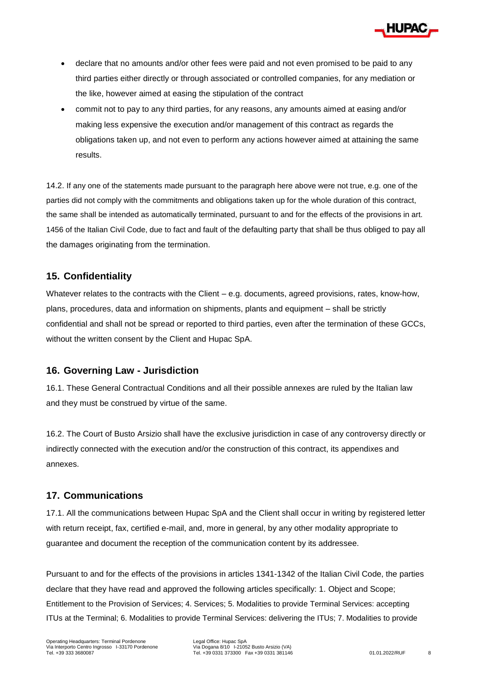

- declare that no amounts and/or other fees were paid and not even promised to be paid to any third parties either directly or through associated or controlled companies, for any mediation or the like, however aimed at easing the stipulation of the contract
- commit not to pay to any third parties, for any reasons, any amounts aimed at easing and/or making less expensive the execution and/or management of this contract as regards the obligations taken up, and not even to perform any actions however aimed at attaining the same results.

14.2. If any one of the statements made pursuant to the paragraph here above were not true, e.g. one of the parties did not comply with the commitments and obligations taken up for the whole duration of this contract, the same shall be intended as automatically terminated, pursuant to and for the effects of the provisions in art. 1456 of the Italian Civil Code, due to fact and fault of the defaulting party that shall be thus obliged to pay all the damages originating from the termination.

### **15. Confidentiality**

Whatever relates to the contracts with the Client – e.g. documents, agreed provisions, rates, know-how, plans, procedures, data and information on shipments, plants and equipment – shall be strictly confidential and shall not be spread or reported to third parties, even after the termination of these GCCs, without the written consent by the Client and Hupac SpA.

### **16. Governing Law - Jurisdiction**

16.1. These General Contractual Conditions and all their possible annexes are ruled by the Italian law and they must be construed by virtue of the same.

16.2. The Court of Busto Arsizio shall have the exclusive jurisdiction in case of any controversy directly or indirectly connected with the execution and/or the construction of this contract, its appendixes and annexes.

### **17. Communications**

17.1. All the communications between Hupac SpA and the Client shall occur in writing by registered letter with return receipt, fax, certified e-mail, and, more in general, by any other modality appropriate to guarantee and document the reception of the communication content by its addressee.

Pursuant to and for the effects of the provisions in articles 1341-1342 of the Italian Civil Code, the parties declare that they have read and approved the following articles specifically: 1. Object and Scope; Entitlement to the Provision of Services; 4. Services; 5. Modalities to provide Terminal Services: accepting ITUs at the Terminal; 6. Modalities to provide Terminal Services: delivering the ITUs; 7. Modalities to provide